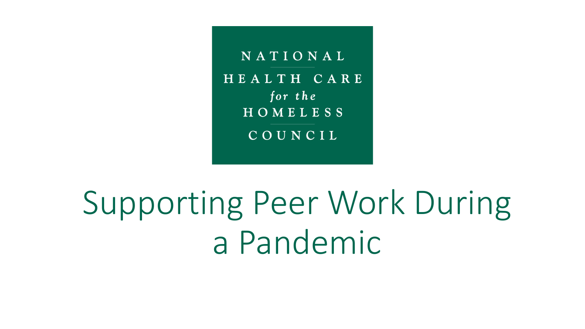NATIONAL HEALTH CARE for the HOMELESS COUNCIL

Supporting Peer Work During a Pandemic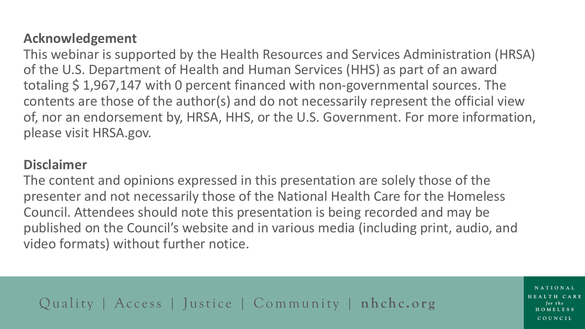#### **Acknowledgement**

This webinar is supported by the Health Resources and Services Administration (HRSA) of the U.S. Department of Health and Human Services (HHS) as part of an award totaling \$ 1,967,147 with 0 percent financed with non-governmental sources. The contents are those of the author(s) and do not necessarily represent the official view of, nor an endorsement by, HRSA, HHS, or the U.S. Government. For more information, please visit HRSA.gov.

#### **Disclaimer**

The content and opinions expressed in this presentation are solely those of the presenter and not necessarily those of the National Health Care for the Homeless Council. Attendees should note this presentation is being recorded and may be published on the Council's website and in various media (including print, audio, and video formats) without further notice.

Quality | Access | Justice | Community | **nhchc.org** 

NATIONAL HEALTH CARE COUNCIL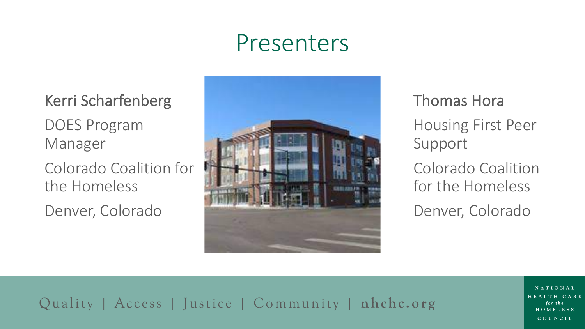# Presenters

Kerri Scharfenberg DOES Program Manager

Colorado Coalition for the Homeless

Denver, Colorado



Thomas Hora Housing First Peer Support Colorado Coalition for the Homeless Denver, Colorado

### Quality | Access | Justice | Community | **nhchc.org**

NATIONAL HEALTH CARE COUNCIL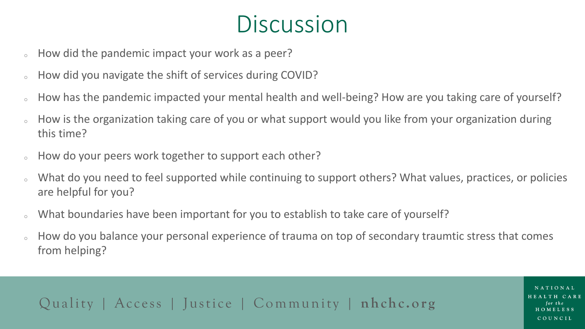## **Discussion**

- How did the pandemic impact your work as a peer?
- How did you navigate the shift of services during COVID?
- How has the pandemic impacted your mental health and well-being? How are you taking care of yourself?
- How is the organization taking care of you or what support would you like from your organization during this time?
- How do your peers work together to support each other?
- What do you need to feel supported while continuing to support others? What values, practices, or policies are helpful for you?
- What boundaries have been important for you to establish to take care of yourself?
- How do you balance your personal experience of trauma on top of secondary traumtic stress that comes from helping?

Quality | Access | Justice | Community | **nhchc.org** 

NATIONAL HEALTH CARE COUNCIL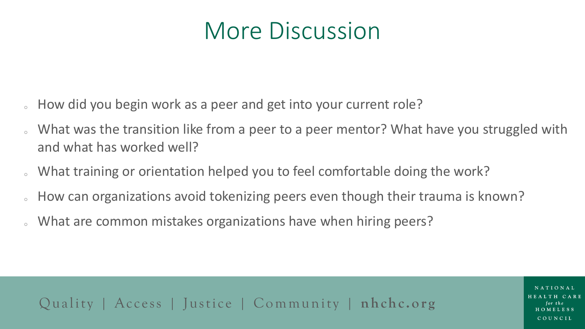# More Discussion

- How did you begin work as a peer and get into your current role?
- What was the transition like from a peer to a peer mentor? What have you struggled with and what has worked well?
- What training or orientation helped you to feel comfortable doing the work?
- How can organizations avoid tokenizing peers even though their trauma is known?
- What are common mistakes organizations have when hiring peers?

### Quality | Access | Justice | Community | **nhchc.org**

COUNCIL